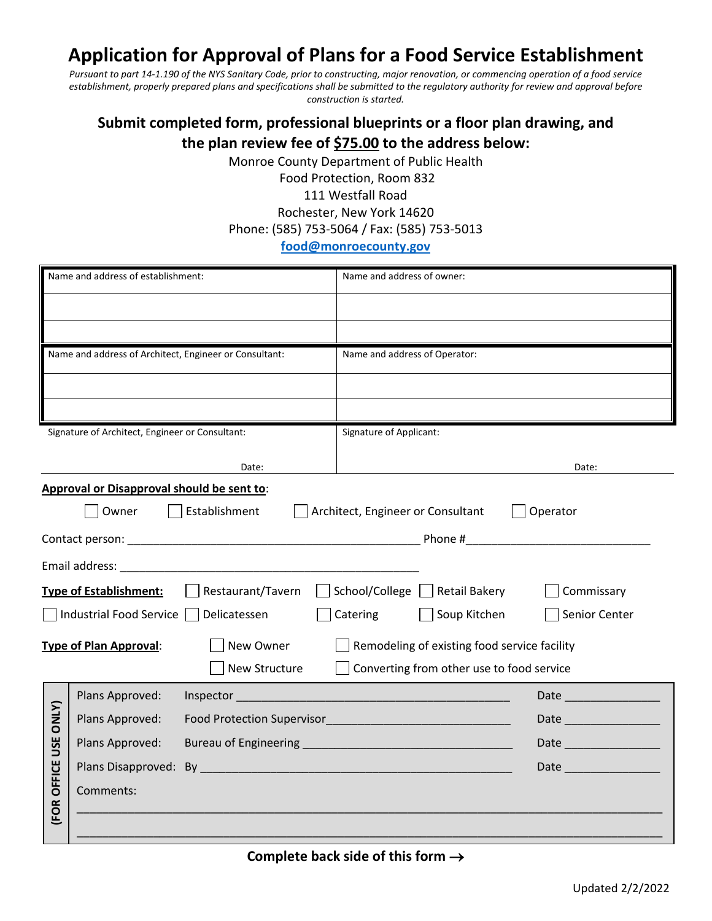## **Application for Approval of Plans for a Food Service Establishment**

*Pursuant to part 14-1.190 of the NYS Sanitary Code, prior to constructing, major renovation, or commencing operation of a food service establishment, properly prepared plans and specifications shall be submitted to the regulatory authority for review and approval before construction is started.* 

## **Submit completed form, professional blueprints or a floor plan drawing, and the plan review fee of \$75.00 to the address below:**

Monroe County Department of Public Health

Food Protection, Room 832 111 Westfall Road Rochester, New York 14620 Phone: (585) 753-5064 / Fax: (585) 753-5013

## **[food@monroecounty.gov](mailto:food@monroecounty.gov)**

| Name and address of establishment:                                                         |                 |               | Name and address of owner:                                                                                                                                                                                                           |                                                                                                                                                                                                                                |  |  |
|--------------------------------------------------------------------------------------------|-----------------|---------------|--------------------------------------------------------------------------------------------------------------------------------------------------------------------------------------------------------------------------------------|--------------------------------------------------------------------------------------------------------------------------------------------------------------------------------------------------------------------------------|--|--|
|                                                                                            |                 |               |                                                                                                                                                                                                                                      |                                                                                                                                                                                                                                |  |  |
|                                                                                            |                 |               |                                                                                                                                                                                                                                      |                                                                                                                                                                                                                                |  |  |
| Name and address of Architect, Engineer or Consultant:                                     |                 |               | Name and address of Operator:                                                                                                                                                                                                        |                                                                                                                                                                                                                                |  |  |
|                                                                                            |                 |               |                                                                                                                                                                                                                                      |                                                                                                                                                                                                                                |  |  |
|                                                                                            |                 |               |                                                                                                                                                                                                                                      |                                                                                                                                                                                                                                |  |  |
| Signature of Architect, Engineer or Consultant:                                            |                 |               | <b>Signature of Applicant:</b>                                                                                                                                                                                                       |                                                                                                                                                                                                                                |  |  |
|                                                                                            |                 | Date:         |                                                                                                                                                                                                                                      | Date:                                                                                                                                                                                                                          |  |  |
| Approval or Disapproval should be sent to:                                                 |                 |               |                                                                                                                                                                                                                                      |                                                                                                                                                                                                                                |  |  |
|                                                                                            | Owner           | Establishment | Architect, Engineer or Consultant                                                                                                                                                                                                    | Operator                                                                                                                                                                                                                       |  |  |
|                                                                                            |                 |               |                                                                                                                                                                                                                                      |                                                                                                                                                                                                                                |  |  |
|                                                                                            |                 |               |                                                                                                                                                                                                                                      |                                                                                                                                                                                                                                |  |  |
| Restaurant/Tavern<br><b>Type of Establishment:</b>                                         |                 |               | School/College Retail Bakery                                                                                                                                                                                                         | Commissary                                                                                                                                                                                                                     |  |  |
| Industrial Food Service  <br>Delicatessen                                                  |                 |               | Catering<br>Soup Kitchen                                                                                                                                                                                                             | Senior Center                                                                                                                                                                                                                  |  |  |
| New Owner<br>Remodeling of existing food service facility<br><b>Type of Plan Approval:</b> |                 |               |                                                                                                                                                                                                                                      |                                                                                                                                                                                                                                |  |  |
|                                                                                            |                 | New Structure | Converting from other use to food service                                                                                                                                                                                            |                                                                                                                                                                                                                                |  |  |
| <b>FOR OFFICE USE ONLY)</b>                                                                | Plans Approved: |               | Inspector <b>contract to the contract of the contract of the contract of the contract of the contract of the contract of the contract of the contract of the contract of the contract of the contract of the contract of the con</b> | Date and the contract of the contract of the contract of the contract of the contract of the contract of the contract of the contract of the contract of the contract of the contract of the contract of the contract of the c |  |  |
|                                                                                            | Plans Approved: |               |                                                                                                                                                                                                                                      |                                                                                                                                                                                                                                |  |  |
|                                                                                            | Plans Approved: |               | Bureau of Engineering <b>Example 2018</b> and 2019 and 2019 and 2019 and 2019 and 2019 and 2019 and 2019 and 2019 and 2019 and 2019 and 2019 and 2019 and 2019 and 2019 and 2019 and 2019 and 2019 and 2019 and 2019 and 2019 and 2  | Date and the state of the state of the state                                                                                                                                                                                   |  |  |
|                                                                                            |                 |               |                                                                                                                                                                                                                                      | Date and the contract of the contract of the contract of the contract of the contract of the contract of the contract of the contract of the contract of the contract of the contract of the contract of the contract of the c |  |  |
|                                                                                            | Comments:       |               |                                                                                                                                                                                                                                      |                                                                                                                                                                                                                                |  |  |
|                                                                                            |                 |               |                                                                                                                                                                                                                                      |                                                                                                                                                                                                                                |  |  |
|                                                                                            |                 |               |                                                                                                                                                                                                                                      |                                                                                                                                                                                                                                |  |  |